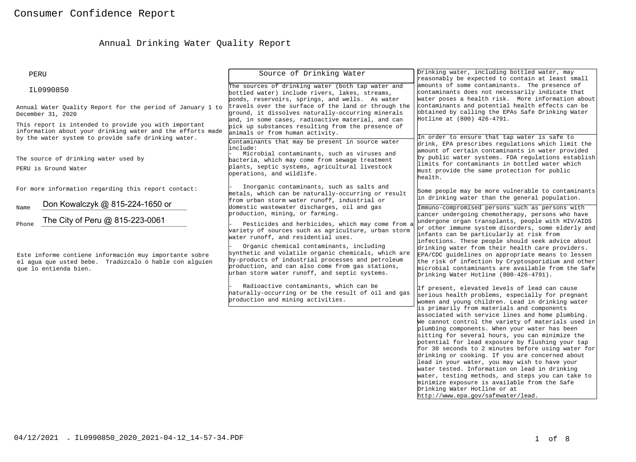# Annual Drinking Water Quality Report

| Source of Drinking Water                                                                                                                                                                                                                                  | Drinking water, including bottled water, may<br>reasonably be expected to contain at least small                                                                                                                                                                                                                                                                                                                                                                                                                                                                                                                                                     |
|-----------------------------------------------------------------------------------------------------------------------------------------------------------------------------------------------------------------------------------------------------------|------------------------------------------------------------------------------------------------------------------------------------------------------------------------------------------------------------------------------------------------------------------------------------------------------------------------------------------------------------------------------------------------------------------------------------------------------------------------------------------------------------------------------------------------------------------------------------------------------------------------------------------------------|
| The sources of drinking water (both tap water and<br>bottled water) include rivers, lakes, streams,                                                                                                                                                       | amounts of some contaminants. The presence of<br>contaminants does not necessarily indicate that<br>water poses a health risk. More information about                                                                                                                                                                                                                                                                                                                                                                                                                                                                                                |
| travels over the surface of the land or through the<br>ground, it dissolves naturally-occurring minerals<br>and, in some cases, radioactive material, and can<br>pick up substances resulting from the presence of                                        | contaminants and potential health effects can be<br>obtained by calling the EPAs Safe Drinking Water<br>Hotline at (800) 426-4791.                                                                                                                                                                                                                                                                                                                                                                                                                                                                                                                   |
| Contaminants that may be present in source water                                                                                                                                                                                                          | In order to ensure that tap water is safe to<br>drink, EPA prescribes regulations which limit the                                                                                                                                                                                                                                                                                                                                                                                                                                                                                                                                                    |
| Microbial contaminants, such as viruses and<br>bacteria, which may come from sewage treatment<br>plants, septic systems, agricultural livestock<br>operations, and wildlife.                                                                              | amount of certain contaminants in water provided<br>by public water systems. FDA regulations establish<br>limits for contaminants in bottled water which<br>must provide the same protection for public<br>health.                                                                                                                                                                                                                                                                                                                                                                                                                                   |
| Inorganic contaminants, such as salts and<br>metals, which can be naturally-occurring or result                                                                                                                                                           | Some people may be more vulnerable to contaminants<br>in drinking water than the general population.                                                                                                                                                                                                                                                                                                                                                                                                                                                                                                                                                 |
| domestic wastewater discharges, oil and gas<br>production, mining, or farming.<br>Pesticides and herbicides, which may come from a<br>variety of sources such as agriculture, urban storm<br>water runoff, and residential uses.                          | Immuno-compromised persons such as persons with<br>cancer undergoing chemotherapy, persons who have<br>undergone organ transplants, people with HIV/AIDS<br>or other immune system disorders, some elderly and<br>infants can be particularly at risk from<br>infections. These people should seek advice about                                                                                                                                                                                                                                                                                                                                      |
| Organic chemical contaminants, including<br>synthetic and volatile organic chemicals, which are<br>by-products of industrial processes and petroleum<br>production, and can also come from gas stations,<br>urban storm water runoff, and septic systems. | drinking water from their health care providers.<br>EPA/CDC guidelines on appropriate means to lessen<br>the risk of infection by Cryptosporidium and other<br>microbial contaminants are available from the Safe<br>Drinking Water Hotline (800-426-4791).                                                                                                                                                                                                                                                                                                                                                                                          |
| Radioactive contaminants, which can be<br>naturally-occurring or be the result of oil and gas<br>production and mining activities.                                                                                                                        | If present, elevated levels of lead can cause<br>serious health problems, especially for pregnant<br>women and young children. Lead in drinking water<br>is primarily from materials and components                                                                                                                                                                                                                                                                                                                                                                                                                                                  |
|                                                                                                                                                                                                                                                           | associated with service lines and home plumbing.<br>We cannot control the variety of materials used in<br>plumbing components. When your water has been<br>sitting for several hours, you can minimize the<br>potential for lead exposure by flushing your tap<br>for 30 seconds to 2 minutes before using water for<br>drinking or cooking. If you are concerned about<br>lead in your water, you may wish to have your<br>water tested. Information on lead in drinking<br>water, testing methods, and steps you can take to<br>minimize exposure is available from the Safe<br>Drinking Water Hotline or at<br>http://www.epa.qov/safewater/lead. |
|                                                                                                                                                                                                                                                           | ponds, reservoirs, springs, and wells. As water<br>Annual Water Quality Report for the period of January 1 to<br>information about your drinking water and the efforts made<br>animals or from human activity.<br>include:<br>from urban storm water runoff, industrial or                                                                                                                                                                                                                                                                                                                                                                           |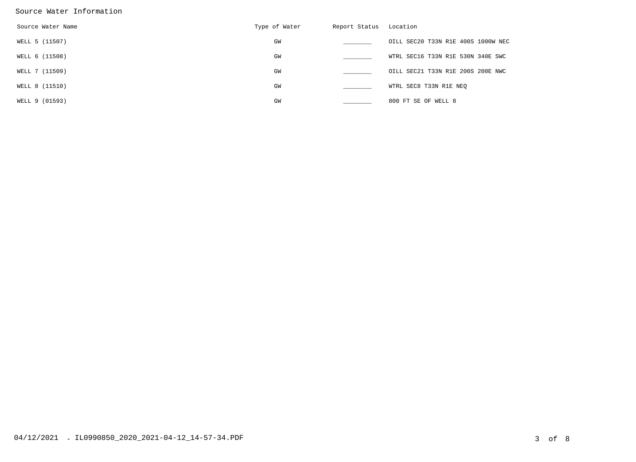#### Source Water Information

| Source Water Name | Type of Water | Report Status | Location                           |
|-------------------|---------------|---------------|------------------------------------|
| WELL 5 (11507)    | GW            |               | OILL SEC20 T33N R1E 400S 1000W NEC |
| WELL 6 (11508)    | GM            |               | WTRL SEC16 T33N R1E 530N 340E SWC  |
| WELL 7 (11509)    | GW            |               | OILL SEC21 T33N R1E 200S 200E NWC  |
| WELL 8 (11510)    | GM            |               | WTRL SEC8 T33N R1E NEO             |
| WELL 9 (01593)    | GW            |               | 800 FT SE OF WELL 8                |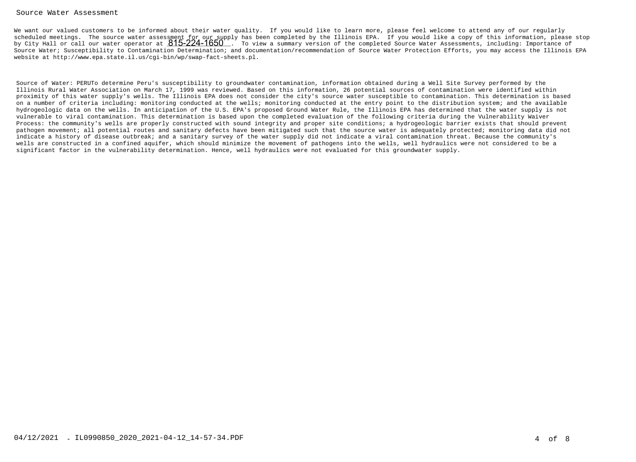#### Source Water Assessment

We want our valued customers to be informed about their water quality. If you would like to learn more, please feel welcome to attend any of our regularly scheduled meetings. The source water assessment for our supply has been completed by the Illinois EPA. If you would like a copy of this information, please stopby City Hall or call our water operator at  $815$ -224-1650 $^\circ$  . To view a summary version of the completed Source Water Assessments, including: Importance of Source Water; Susceptibility to Contamination Determination; and documentation/recommendation of Source Water Protection Efforts, you may access the Illinois EPAwebsite at http://www.epa.state.il.us/cgi-bin/wp/swap-fact-sheets.pl.

Source of Water: PERUTo determine Peru's susceptibility to groundwater contamination, information obtained during a Well Site Survey performed by the Illinois Rural Water Association on March 17, 1999 was reviewed. Based on this information, 26 potential sources of contamination were identified within proximity of this water supply's wells. The Illinois EPA does not consider the city's source water susceptible to contamination. This determination is based on a number of criteria including: monitoring conducted at the wells; monitoring conducted at the entry point to the distribution system; and the available hydrogeologic data on the wells. In anticipation of the U.S. EPA's proposed Ground Water Rule, the Illinois EPA has determined that the water supply is notvulnerable to viral contamination. This determination is based upon the completed evaluation of the following criteria during the Vulnerability Waiver Process: the community's wells are properly constructed with sound integrity and proper site conditions; a hydrogeologic barrier exists that should prevent pathogen movement; all potential routes and sanitary defects have been mitigated such that the source water is adequately protected; monitoring data did notindicate a history of disease outbreak; and a sanitary survey of the water supply did not indicate a viral contamination threat. Because the community's wells are constructed in a confined aquifer, which should minimize the movement of pathogens into the wells, well hydraulics were not considered to be asignificant factor in the vulnerability determination. Hence, well hydraulics were not evaluated for this groundwater supply.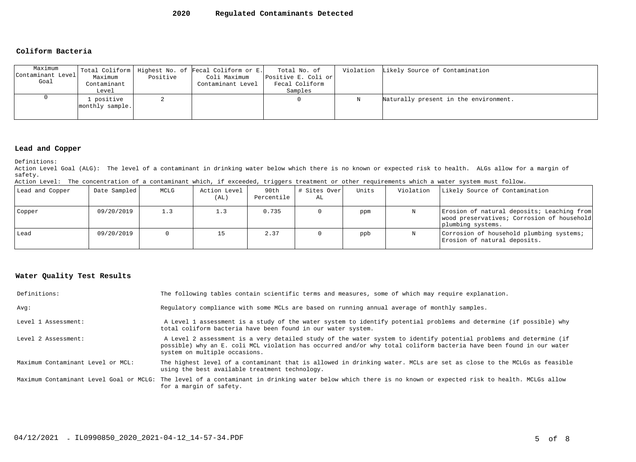#### **2020Regulated Contaminants Detected**

#### **Coliform Bacteria**

| Maximum<br>Contaminant Level<br>Goal | Maximum<br>Contaminant<br>Level | Positive | Total Coliform   Highest No. of Fecal Coliform or E.<br>Coli Maximum<br>Contaminant Level | Total No. of<br>Positive E. Coli or<br>Fecal Coliform<br>Samples |   | Violation Likely Source of Contamination |
|--------------------------------------|---------------------------------|----------|-------------------------------------------------------------------------------------------|------------------------------------------------------------------|---|------------------------------------------|
|                                      | positive<br>monthly sample.     |          |                                                                                           |                                                                  | Ν | Naturally present in the environment.    |

#### **Lead and Copper**

Definitions:

 Action Level Goal (ALG): The level of a contaminant in drinking water below which there is no known or expected risk to health. ALGs allow for a margin ofsafety.

|  |  | Action Level: The concentration of a contaminant which, if exceeded, triggers treatment or other requirements which a water system must follow. |  |  |  |  |  |  |  |  |  |  |  |
|--|--|-------------------------------------------------------------------------------------------------------------------------------------------------|--|--|--|--|--|--|--|--|--|--|--|
|--|--|-------------------------------------------------------------------------------------------------------------------------------------------------|--|--|--|--|--|--|--|--|--|--|--|

| Lead and Copper | Date Sampled | MCLG | Action Level<br>(AL) | 90th<br>Percentile | # Sites Over<br>AL | Units | Violation | Likely Source of Contamination                                                                                |
|-----------------|--------------|------|----------------------|--------------------|--------------------|-------|-----------|---------------------------------------------------------------------------------------------------------------|
| Copper          | 09/20/2019   | 1.3  | 1.3                  | 0.735              |                    | ppm   | N         | Erosion of natural deposits; Leaching from<br>wood preservatives; Corrosion of household<br>plumbing systems. |
| Lead            | 09/20/2019   |      | 15                   | 2.37               |                    | ppb   | N         | Corrosion of household plumbing systems;<br>Erosion of natural deposits.                                      |

### **Water Quality Test Results**

| Definitions:                      | The following tables contain scientific terms and measures, some of which may require explanation.                                                                                                                                                                         |
|-----------------------------------|----------------------------------------------------------------------------------------------------------------------------------------------------------------------------------------------------------------------------------------------------------------------------|
| Avq:                              | Requiatory compliance with some MCLs are based on running annual average of monthly samples.                                                                                                                                                                               |
| Level 1 Assessment:               | A Level 1 assessment is a study of the water system to identify potential problems and determine (if possible) why<br>total coliform bacteria have been found in our water system.                                                                                         |
| Level 2 Assessment:               | A Level 2 assessment is a very detailed study of the water system to identify potential problems and determine (if<br>possible) why an E. coli MCL violation has occurred and/or why total coliform bacteria have been found in our water<br>system on multiple occasions. |
| Maximum Contaminant Level or MCL: | The highest level of a contaminant that is allowed in drinking water. MCLs are set as close to the MCLGs as feasible<br>using the best available treatment technology.                                                                                                     |
|                                   | Maximum Contaminant Level Goal or MCLG: The level of a contaminant in drinking water below which there is no known or expected risk to health. MCLGs allow<br>for a margin of safety.                                                                                      |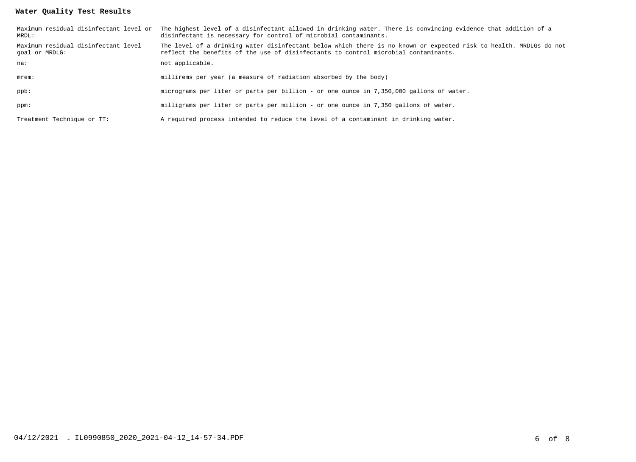## **Water Quality Test Results**

| MRDL:                                                 | Maximum residual disinfectant level or The highest level of a disinfectant allowed in drinking water. There is convincing evidence that addition of a<br>disinfectant is necessary for control of microbial contaminants. |
|-------------------------------------------------------|---------------------------------------------------------------------------------------------------------------------------------------------------------------------------------------------------------------------------|
| Maximum residual disinfectant level<br>goal or MRDLG: | The level of a drinking water disinfectant below which there is no known or expected risk to health. MRDLGs do not<br>reflect the benefits of the use of disinfectants to control microbial contaminants.                 |
| na:                                                   | not applicable.                                                                                                                                                                                                           |
| $m$ rem $:$                                           | millirems per year (a measure of radiation absorbed by the body)                                                                                                                                                          |
| ppb:                                                  | micrograms per liter or parts per billion - or one ounce in 7,350,000 gallons of water.                                                                                                                                   |
| ppm:                                                  | milligrams per liter or parts per million - or one ounce in 7,350 gallons of water.                                                                                                                                       |
| Treatment Technique or TT:                            | A required process intended to reduce the level of a contaminant in drinking water.                                                                                                                                       |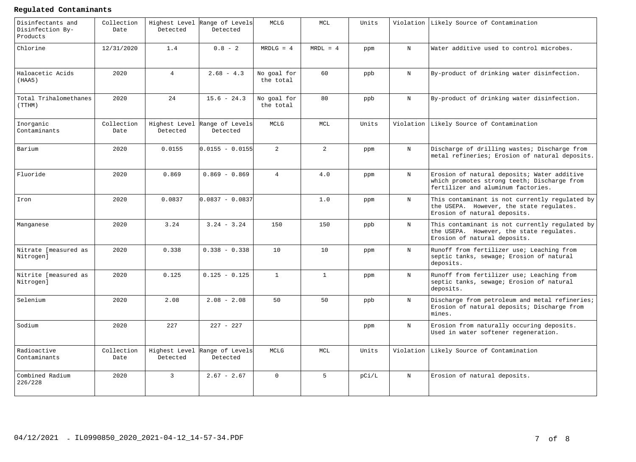#### **Regulated Contaminants**

| Disinfectants and<br>Disinfection By-<br>Products | Collection<br>Date | Highest Level<br>Detected | Range of Levels<br>Detected | <b>MCLG</b>              | MCL            | Units |             | Violation Likely Source of Contamination                                                                                         |
|---------------------------------------------------|--------------------|---------------------------|-----------------------------|--------------------------|----------------|-------|-------------|----------------------------------------------------------------------------------------------------------------------------------|
| Chlorine                                          | 12/31/2020         | 1.4                       | $0.8 - 2$                   | $MRDLG = 4$              | $MRDL = 4$     | ppm   | N           | Water additive used to control microbes.                                                                                         |
| Haloacetic Acids<br>(HAA5)                        | 2020               | $4\overline{ }$           | $2.68 - 4.3$                | No goal for<br>the total | 60             | ppb   | N           | By-product of drinking water disinfection.                                                                                       |
| Total Trihalomethanes<br>(TTHM)                   | 2020               | 24                        | $15.6 - 24.3$               | No goal for<br>the total | 80             | ppb   | N           | By-product of drinking water disinfection.                                                                                       |
| Inorganic<br>Contaminants                         | Collection<br>Date | Highest Level<br>Detected | Range of Levels<br>Detected | MCLG                     | MCL            | Units | Violation   | Likely Source of Contamination                                                                                                   |
| Barium                                            | 2020               | 0.0155                    | $0.0155 - 0.0155$           | $\overline{2}$           | $\overline{2}$ | ppm   | N           | Discharge of drilling wastes; Discharge from<br>metal refineries; Erosion of natural deposits.                                   |
| Fluoride                                          | 2020               | 0.869                     | $0.869 - 0.869$             | $\overline{4}$           | 4.0            | ppm   | $_{\rm N}$  | Erosion of natural deposits; Water additive<br>which promotes strong teeth; Discharge from<br>fertilizer and aluminum factories. |
| Iron                                              | 2020               | 0.0837                    | $0.0837 - 0.0837$           |                          | 1.0            | ppm   | $_{\rm N}$  | This contaminant is not currently regulated by<br>the USEPA. However, the state regulates.<br>Erosion of natural deposits.       |
| Manganese                                         | 2020               | 3.24                      | $3.24 - 3.24$               | 150                      | 150            | ppb   | $_{\rm N}$  | This contaminant is not currently regulated by<br>the USEPA. However, the state regulates.<br>Erosion of natural deposits.       |
| Nitrate [measured as<br>Nitrogen]                 | 2020               | 0.338                     | $0.338 - 0.338$             | 10                       | 10             | ppm   | $_{\rm N}$  | Runoff from fertilizer use; Leaching from<br>septic tanks, sewage; Erosion of natural<br>deposits.                               |
| Nitrite [measured as<br>Nitrogen]                 | 2020               | 0.125                     | $0.125 - 0.125$             | $\mathbf{1}$             | $\mathbf{1}$   | ppm   | $_{\rm N}$  | Runoff from fertilizer use; Leaching from<br>septic tanks, sewage; Erosion of natural<br>deposits.                               |
| Selenium                                          | 2020               | 2.08                      | $2.08 - 2.08$               | 50                       | 50             | ppb   | N           | Discharge from petroleum and metal refineries;<br>Erosion of natural deposits; Discharge from<br>mines.                          |
| Sodium                                            | 2020               | 227                       | $227 - 227$                 |                          |                | ppm   | $\mathbf N$ | Erosion from naturally occuring deposits.<br>Used in water softener regeneration.                                                |
| Radioactive<br>Contaminants                       | Collection<br>Date | Highest Level<br>Detected | Range of Levels<br>Detected | MCLG                     | MCL            | Units | Violation   | Likely Source of Contamination                                                                                                   |
| Combined Radium<br>226/228                        | 2020               | $\mathbf{3}$              | $2.67 - 2.67$               | $\Omega$                 | 5 <sup>1</sup> | pC1/L | $_{\rm N}$  | Erosion of natural deposits.                                                                                                     |